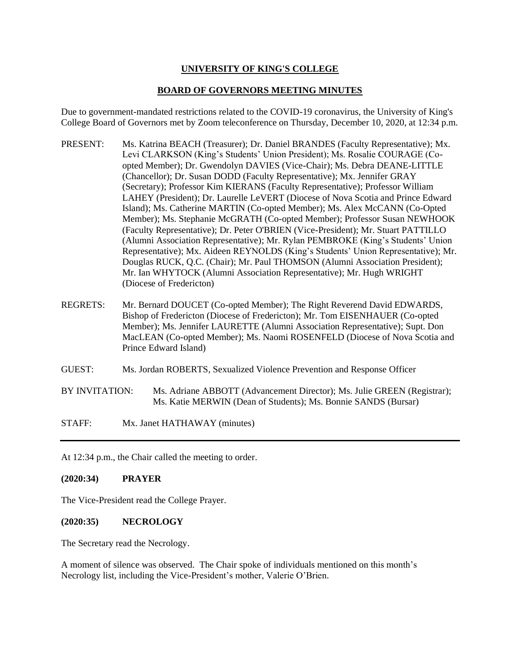## **UNIVERSITY OF KING'S COLLEGE**

## **BOARD OF GOVERNORS MEETING MINUTES**

Due to government-mandated restrictions related to the COVID-19 coronavirus, the University of King's College Board of Governors met by Zoom teleconference on Thursday, December 10, 2020, at 12:34 p.m.

- PRESENT: Ms. Katrina BEACH (Treasurer); Dr. Daniel BRANDES (Faculty Representative); Mx. Levi CLARKSON (King's Students' Union President); Ms. Rosalie COURAGE (Coopted Member); Dr. Gwendolyn DAVIES (Vice-Chair); Ms. Debra DEANE-LITTLE (Chancellor); Dr. Susan DODD (Faculty Representative); Mx. Jennifer GRAY (Secretary); Professor Kim KIERANS (Faculty Representative); Professor William LAHEY (President); Dr. Laurelle LeVERT (Diocese of Nova Scotia and Prince Edward Island); Ms. Catherine MARTIN (Co-opted Member); Ms. Alex McCANN (Co-Opted Member); Ms. Stephanie McGRATH (Co-opted Member); Professor Susan NEWHOOK (Faculty Representative); Dr. Peter O'BRIEN (Vice-President); Mr. Stuart PATTILLO (Alumni Association Representative); Mr. Rylan PEMBROKE (King's Students' Union Representative); Mx. Aideen REYNOLDS (King's Students' Union Representative); Mr. Douglas RUCK, Q.C. (Chair); Mr. Paul THOMSON (Alumni Association President); Mr. Ian WHYTOCK (Alumni Association Representative); Mr. Hugh WRIGHT (Diocese of Fredericton)
- REGRETS: Mr. Bernard DOUCET (Co-opted Member); The Right Reverend David EDWARDS, Bishop of Fredericton (Diocese of Fredericton); Mr. Tom EISENHAUER (Co-opted Member); Ms. Jennifer LAURETTE (Alumni Association Representative); Supt. Don MacLEAN (Co-opted Member); Ms. Naomi ROSENFELD (Diocese of Nova Scotia and Prince Edward Island)
- GUEST: Ms. Jordan ROBERTS, Sexualized Violence Prevention and Response Officer
- BY INVITATION: Ms. Adriane ABBOTT (Advancement Director); Ms. Julie GREEN (Registrar); Ms. Katie MERWIN (Dean of Students); Ms. Bonnie SANDS (Bursar)
- STAFF: Mx. Janet HATHAWAY (minutes)

At 12:34 p.m., the Chair called the meeting to order.

## **(2020:34) PRAYER**

The Vice-President read the College Prayer.

#### **(2020:35) NECROLOGY**

The Secretary read the Necrology.

A moment of silence was observed. The Chair spoke of individuals mentioned on this month's Necrology list, including the Vice-President's mother, Valerie O'Brien.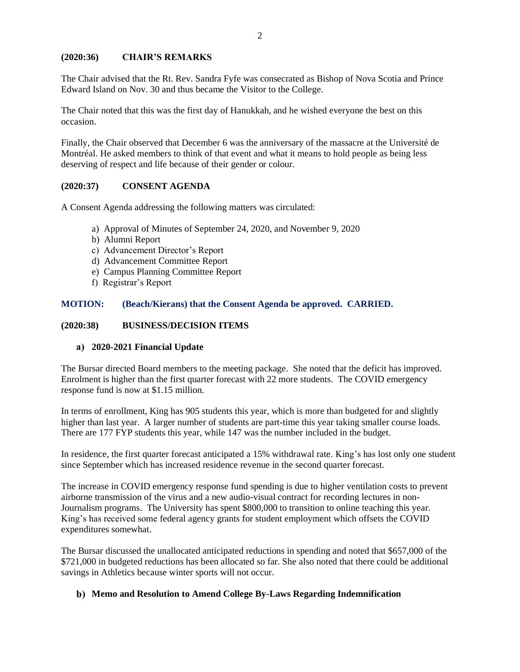# **(2020:36) CHAIR'S REMARKS**

The Chair advised that the Rt. Rev. Sandra Fyfe was consecrated as Bishop of Nova Scotia and Prince Edward Island on Nov. 30 and thus became the Visitor to the College.

The Chair noted that this was the first day of Hanukkah, and he wished everyone the best on this occasion.

Finally, the Chair observed that December 6 was the anniversary of the massacre at the Université de Montréal. He asked members to think of that event and what it means to hold people as being less deserving of respect and life because of their gender or colour.

#### **(2020:37) CONSENT AGENDA**

A Consent Agenda addressing the following matters was circulated:

- a) Approval of Minutes of September 24, 2020, and November 9, 2020
- b) Alumni Report
- c) Advancement Director's Report
- d) Advancement Committee Report
- e) Campus Planning Committee Report
- f) Registrar's Report

## **MOTION: (Beach/Kierans) that the Consent Agenda be approved. CARRIED.**

#### **(2020:38) BUSINESS/DECISION ITEMS**

#### **2020-2021 Financial Update**

The Bursar directed Board members to the meeting package. She noted that the deficit has improved. Enrolment is higher than the first quarter forecast with 22 more students. The COVID emergency response fund is now at \$1.15 million.

In terms of enrollment, King has 905 students this year, which is more than budgeted for and slightly higher than last year. A larger number of students are part-time this year taking smaller course loads. There are 177 FYP students this year, while 147 was the number included in the budget.

In residence, the first quarter forecast anticipated a 15% withdrawal rate. King's has lost only one student since September which has increased residence revenue in the second quarter forecast.

The increase in COVID emergency response fund spending is due to higher ventilation costs to prevent airborne transmission of the virus and a new audio-visual contract for recording lectures in non-Journalism programs. The University has spent \$800,000 to transition to online teaching this year. King's has received some federal agency grants for student employment which offsets the COVID expenditures somewhat.

The Bursar discussed the unallocated anticipated reductions in spending and noted that \$657,000 of the \$721,000 in budgeted reductions has been allocated so far. She also noted that there could be additional savings in Athletics because winter sports will not occur.

#### **Memo and Resolution to Amend College By-Laws Regarding Indemnification**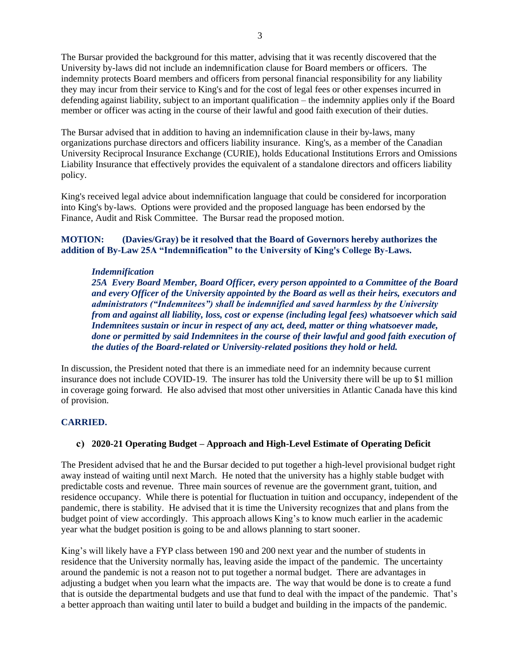The Bursar provided the background for this matter, advising that it was recently discovered that the University by-laws did not include an indemnification clause for Board members or officers. The indemnity protects Board members and officers from personal financial responsibility for any liability they may incur from their service to King's and for the cost of legal fees or other expenses incurred in defending against liability, subject to an important qualification – the indemnity applies only if the Board member or officer was acting in the course of their lawful and good faith execution of their duties.

The Bursar advised that in addition to having an indemnification clause in their by-laws, many organizations purchase directors and officers liability insurance. King's, as a member of the Canadian University Reciprocal Insurance Exchange (CURIE), holds Educational Institutions Errors and Omissions Liability Insurance that effectively provides the equivalent of a standalone directors and officers liability policy.

King's received legal advice about indemnification language that could be considered for incorporation into King's by-laws. Options were provided and the proposed language has been endorsed by the Finance, Audit and Risk Committee. The Bursar read the proposed motion.

## **MOTION: (Davies/Gray) be it resolved that the Board of Governors hereby authorizes the addition of By-Law 25A "Indemnification" to the University of King's College By-Laws.**

#### *Indemnification*

*25A Every Board Member, Board Officer, every person appointed to a Committee of the Board and every Officer of the University appointed by the Board as well as their heirs, executors and administrators ("Indemnitees") shall be indemnified and saved harmless by the University from and against all liability, loss, cost or expense (including legal fees) whatsoever which said Indemnitees sustain or incur in respect of any act, deed, matter or thing whatsoever made, done or permitted by said Indemnitees in the course of their lawful and good faith execution of the duties of the Board-related or University-related positions they hold or held.*

In discussion, the President noted that there is an immediate need for an indemnity because current insurance does not include COVID-19. The insurer has told the University there will be up to \$1 million in coverage going forward. He also advised that most other universities in Atlantic Canada have this kind of provision.

## **CARRIED.**

## **2020-21 Operating Budget – Approach and High-Level Estimate of Operating Deficit**

The President advised that he and the Bursar decided to put together a high-level provisional budget right away instead of waiting until next March. He noted that the university has a highly stable budget with predictable costs and revenue. Three main sources of revenue are the government grant, tuition, and residence occupancy. While there is potential for fluctuation in tuition and occupancy, independent of the pandemic, there is stability. He advised that it is time the University recognizes that and plans from the budget point of view accordingly. This approach allows King's to know much earlier in the academic year what the budget position is going to be and allows planning to start sooner.

King's will likely have a FYP class between 190 and 200 next year and the number of students in residence that the University normally has, leaving aside the impact of the pandemic. The uncertainty around the pandemic is not a reason not to put together a normal budget. There are advantages in adjusting a budget when you learn what the impacts are. The way that would be done is to create a fund that is outside the departmental budgets and use that fund to deal with the impact of the pandemic. That's a better approach than waiting until later to build a budget and building in the impacts of the pandemic.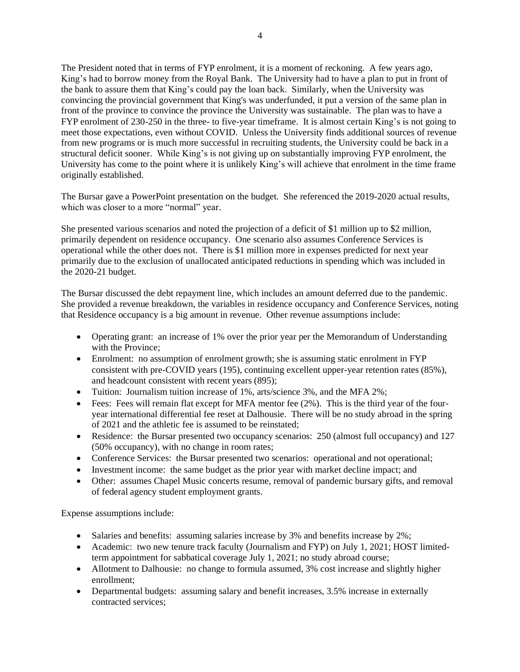The President noted that in terms of FYP enrolment, it is a moment of reckoning. A few years ago, King's had to borrow money from the Royal Bank. The University had to have a plan to put in front of the bank to assure them that King's could pay the loan back. Similarly, when the University was convincing the provincial government that King's was underfunded, it put a version of the same plan in front of the province to convince the province the University was sustainable. The plan was to have a FYP enrolment of 230-250 in the three- to five-year timeframe. It is almost certain King's is not going to meet those expectations, even without COVID. Unless the University finds additional sources of revenue from new programs or is much more successful in recruiting students, the University could be back in a structural deficit sooner. While King's is not giving up on substantially improving FYP enrolment, the University has come to the point where it is unlikely King's will achieve that enrolment in the time frame originally established.

The Bursar gave a PowerPoint presentation on the budget. She referenced the 2019-2020 actual results, which was closer to a more "normal" year.

She presented various scenarios and noted the projection of a deficit of \$1 million up to \$2 million, primarily dependent on residence occupancy. One scenario also assumes Conference Services is operational while the other does not. There is \$1 million more in expenses predicted for next year primarily due to the exclusion of unallocated anticipated reductions in spending which was included in the 2020-21 budget.

The Bursar discussed the debt repayment line, which includes an amount deferred due to the pandemic. She provided a revenue breakdown, the variables in residence occupancy and Conference Services, noting that Residence occupancy is a big amount in revenue. Other revenue assumptions include:

- Operating grant: an increase of 1% over the prior year per the Memorandum of Understanding with the Province;
- Enrolment: no assumption of enrolment growth; she is assuming static enrolment in FYP consistent with pre-COVID years (195), continuing excellent upper-year retention rates (85%), and headcount consistent with recent years (895);
- Tuition: Journalism tuition increase of 1%, arts/science 3%, and the MFA 2%;
- Fees: Fees will remain flat except for MFA mentor fee (2%). This is the third year of the fouryear international differential fee reset at Dalhousie. There will be no study abroad in the spring of 2021 and the athletic fee is assumed to be reinstated;
- Residence: the Bursar presented two occupancy scenarios: 250 (almost full occupancy) and 127 (50% occupancy), with no change in room rates;
- Conference Services: the Bursar presented two scenarios: operational and not operational;
- Investment income: the same budget as the prior year with market decline impact; and
- Other: assumes Chapel Music concerts resume, removal of pandemic bursary gifts, and removal of federal agency student employment grants.

Expense assumptions include:

- Salaries and benefits: assuming salaries increase by 3% and benefits increase by 2%;
- Academic: two new tenure track faculty (Journalism and FYP) on July 1, 2021; HOST limitedterm appointment for sabbatical coverage July 1, 2021; no study abroad course;
- Allotment to Dalhousie: no change to formula assumed, 3% cost increase and slightly higher enrollment;
- Departmental budgets: assuming salary and benefit increases, 3.5% increase in externally contracted services;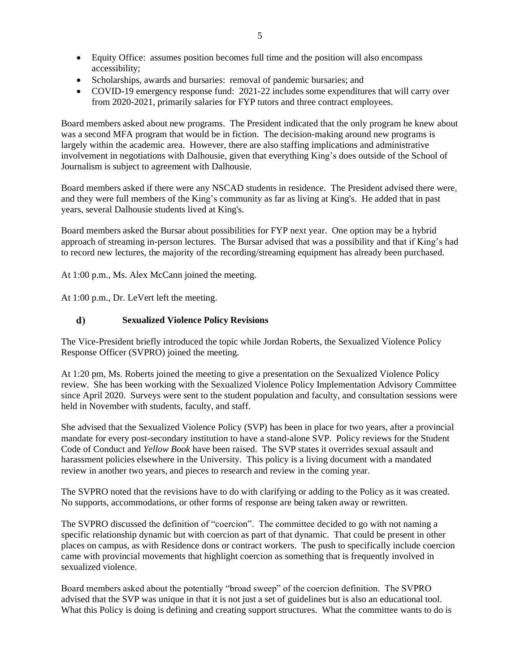- Equity Office: assumes position becomes full time and the position will also encompass accessibility;
- Scholarships, awards and bursaries: removal of pandemic bursaries; and
- COVID-19 emergency response fund: 2021-22 includes some expenditures that will carry over from 2020-2021, primarily salaries for FYP tutors and three contract employees.

Board members asked about new programs. The President indicated that the only program he knew about was a second MFA program that would be in fiction. The decision-making around new programs is largely within the academic area. However, there are also staffing implications and administrative involvement in negotiations with Dalhousie, given that everything King's does outside of the School of Journalism is subject to agreement with Dalhousie.

Board members asked if there were any NSCAD students in residence. The President advised there were, and they were full members of the King's community as far as living at King's. He added that in past years, several Dalhousie students lived at King's.

Board members asked the Bursar about possibilities for FYP next year. One option may be a hybrid approach of streaming in-person lectures. The Bursar advised that was a possibility and that if King's had to record new lectures, the majority of the recording/streaming equipment has already been purchased.

At 1:00 p.m., Ms. Alex McCann joined the meeting.

At 1:00 p.m., Dr. LeVert left the meeting.

#### d) **Sexualized Violence Policy Revisions**

The Vice-President briefly introduced the topic while Jordan Roberts, the Sexualized Violence Policy Response Officer (SVPRO) joined the meeting.

At 1:20 pm, Ms. Roberts joined the meeting to give a presentation on the Sexualized Violence Policy review. She has been working with the Sexualized Violence Policy Implementation Advisory Committee since April 2020. Surveys were sent to the student population and faculty, and consultation sessions were held in November with students, faculty, and staff.

She advised that the Sexualized Violence Policy (SVP) has been in place for two years, after a provincial mandate for every post-secondary institution to have a stand-alone SVP. Policy reviews for the Student Code of Conduct and *Yellow Book* have been raised. The SVP states it overrides sexual assault and harassment policies elsewhere in the University. This policy is a living document with a mandated review in another two years, and pieces to research and review in the coming year.

The SVPRO noted that the revisions have to do with clarifying or adding to the Policy as it was created. No supports, accommodations, or other forms of response are being taken away or rewritten.

The SVPRO discussed the definition of "coercion". The committee decided to go with not naming a specific relationship dynamic but with coercion as part of that dynamic. That could be present in other places on campus, as with Residence dons or contract workers. The push to specifically include coercion came with provincial movements that highlight coercion as something that is frequently involved in sexualized violence.

Board members asked about the potentially "broad sweep" of the coercion definition. The SVPRO advised that the SVP was unique in that it is not just a set of guidelines but is also an educational tool. What this Policy is doing is defining and creating support structures. What the committee wants to do is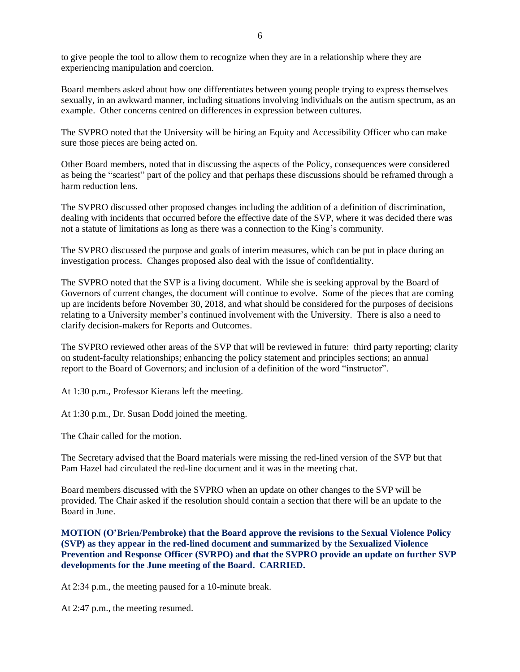to give people the tool to allow them to recognize when they are in a relationship where they are experiencing manipulation and coercion.

Board members asked about how one differentiates between young people trying to express themselves sexually, in an awkward manner, including situations involving individuals on the autism spectrum, as an example. Other concerns centred on differences in expression between cultures.

The SVPRO noted that the University will be hiring an Equity and Accessibility Officer who can make sure those pieces are being acted on.

Other Board members, noted that in discussing the aspects of the Policy, consequences were considered as being the "scariest" part of the policy and that perhaps these discussions should be reframed through a harm reduction lens.

The SVPRO discussed other proposed changes including the addition of a definition of discrimination, dealing with incidents that occurred before the effective date of the SVP, where it was decided there was not a statute of limitations as long as there was a connection to the King's community.

The SVPRO discussed the purpose and goals of interim measures, which can be put in place during an investigation process. Changes proposed also deal with the issue of confidentiality.

The SVPRO noted that the SVP is a living document. While she is seeking approval by the Board of Governors of current changes, the document will continue to evolve. Some of the pieces that are coming up are incidents before November 30, 2018, and what should be considered for the purposes of decisions relating to a University member's continued involvement with the University. There is also a need to clarify decision-makers for Reports and Outcomes.

The SVPRO reviewed other areas of the SVP that will be reviewed in future: third party reporting; clarity on student-faculty relationships; enhancing the policy statement and principles sections; an annual report to the Board of Governors; and inclusion of a definition of the word "instructor".

At 1:30 p.m., Professor Kierans left the meeting.

At 1:30 p.m., Dr. Susan Dodd joined the meeting.

The Chair called for the motion.

The Secretary advised that the Board materials were missing the red-lined version of the SVP but that Pam Hazel had circulated the red-line document and it was in the meeting chat.

Board members discussed with the SVPRO when an update on other changes to the SVP will be provided. The Chair asked if the resolution should contain a section that there will be an update to the Board in June.

**MOTION (O'Brien/Pembroke) that the Board approve the revisions to the Sexual Violence Policy (SVP) as they appear in the red-lined document and summarized by the Sexualized Violence Prevention and Response Officer (SVRPO) and that the SVPRO provide an update on further SVP developments for the June meeting of the Board. CARRIED.**

At 2:34 p.m., the meeting paused for a 10-minute break.

At 2:47 p.m., the meeting resumed.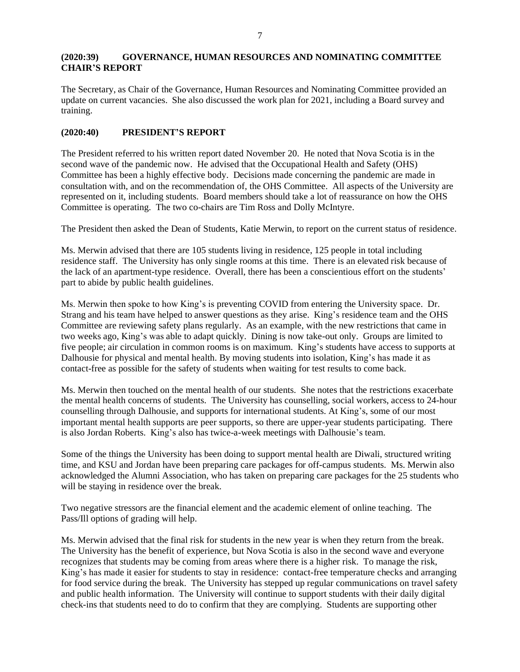## **(2020:39) GOVERNANCE, HUMAN RESOURCES AND NOMINATING COMMITTEE CHAIR'S REPORT**

The Secretary, as Chair of the Governance, Human Resources and Nominating Committee provided an update on current vacancies. She also discussed the work plan for 2021, including a Board survey and training.

#### **(2020:40) PRESIDENT'S REPORT**

The President referred to his written report dated November 20. He noted that Nova Scotia is in the second wave of the pandemic now. He advised that the Occupational Health and Safety (OHS) Committee has been a highly effective body. Decisions made concerning the pandemic are made in consultation with, and on the recommendation of, the OHS Committee. All aspects of the University are represented on it, including students. Board members should take a lot of reassurance on how the OHS Committee is operating. The two co-chairs are Tim Ross and Dolly McIntyre.

The President then asked the Dean of Students, Katie Merwin, to report on the current status of residence.

Ms. Merwin advised that there are 105 students living in residence, 125 people in total including residence staff. The University has only single rooms at this time. There is an elevated risk because of the lack of an apartment-type residence. Overall, there has been a conscientious effort on the students' part to abide by public health guidelines.

Ms. Merwin then spoke to how King's is preventing COVID from entering the University space. Dr. Strang and his team have helped to answer questions as they arise. King's residence team and the OHS Committee are reviewing safety plans regularly. As an example, with the new restrictions that came in two weeks ago, King's was able to adapt quickly. Dining is now take-out only. Groups are limited to five people; air circulation in common rooms is on maximum. King's students have access to supports at Dalhousie for physical and mental health. By moving students into isolation, King's has made it as contact-free as possible for the safety of students when waiting for test results to come back.

Ms. Merwin then touched on the mental health of our students. She notes that the restrictions exacerbate the mental health concerns of students. The University has counselling, social workers, access to 24-hour counselling through Dalhousie, and supports for international students. At King's, some of our most important mental health supports are peer supports, so there are upper-year students participating. There is also Jordan Roberts. King's also has twice-a-week meetings with Dalhousie's team.

Some of the things the University has been doing to support mental health are Diwali, structured writing time, and KSU and Jordan have been preparing care packages for off-campus students. Ms. Merwin also acknowledged the Alumni Association, who has taken on preparing care packages for the 25 students who will be staying in residence over the break.

Two negative stressors are the financial element and the academic element of online teaching. The Pass/Ill options of grading will help.

Ms. Merwin advised that the final risk for students in the new year is when they return from the break. The University has the benefit of experience, but Nova Scotia is also in the second wave and everyone recognizes that students may be coming from areas where there is a higher risk. To manage the risk, King's has made it easier for students to stay in residence: contact-free temperature checks and arranging for food service during the break. The University has stepped up regular communications on travel safety and public health information. The University will continue to support students with their daily digital check-ins that students need to do to confirm that they are complying. Students are supporting other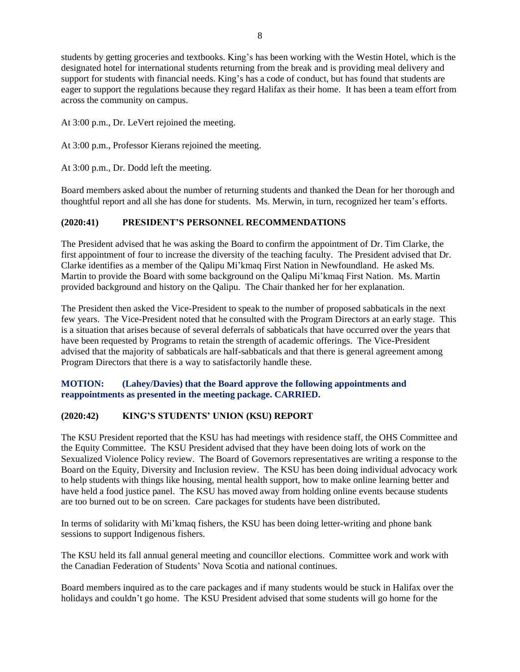students by getting groceries and textbooks. King's has been working with the Westin Hotel, which is the designated hotel for international students returning from the break and is providing meal delivery and support for students with financial needs. King's has a code of conduct, but has found that students are eager to support the regulations because they regard Halifax as their home. It has been a team effort from across the community on campus.

At 3:00 p.m., Dr. LeVert rejoined the meeting.

At 3:00 p.m., Professor Kierans rejoined the meeting.

At 3:00 p.m., Dr. Dodd left the meeting.

Board members asked about the number of returning students and thanked the Dean for her thorough and thoughtful report and all she has done for students. Ms. Merwin, in turn, recognized her team's efforts.

#### **(2020:41) PRESIDENT'S PERSONNEL RECOMMENDATIONS**

The President advised that he was asking the Board to confirm the appointment of Dr. Tim Clarke, the first appointment of four to increase the diversity of the teaching faculty. The President advised that Dr. Clarke identifies as a member of the Qalipu Mi'kmaq First Nation in Newfoundland. He asked Ms. Martin to provide the Board with some background on the Qalipu Mi'kmaq First Nation. Ms. Martin provided background and history on the Qalipu. The Chair thanked her for her explanation.

The President then asked the Vice-President to speak to the number of proposed sabbaticals in the next few years. The Vice-President noted that he consulted with the Program Directors at an early stage. This is a situation that arises because of several deferrals of sabbaticals that have occurred over the years that have been requested by Programs to retain the strength of academic offerings. The Vice-President advised that the majority of sabbaticals are half-sabbaticals and that there is general agreement among Program Directors that there is a way to satisfactorily handle these.

#### **MOTION: (Lahey/Davies) that the Board approve the following appointments and reappointments as presented in the meeting package. CARRIED.**

## **(2020:42) KING'S STUDENTS' UNION (KSU) REPORT**

The KSU President reported that the KSU has had meetings with residence staff, the OHS Committee and the Equity Committee. The KSU President advised that they have been doing lots of work on the Sexualized Violence Policy review. The Board of Governors representatives are writing a response to the Board on the Equity, Diversity and Inclusion review. The KSU has been doing individual advocacy work to help students with things like housing, mental health support, how to make online learning better and have held a food justice panel. The KSU has moved away from holding online events because students are too burned out to be on screen. Care packages for students have been distributed.

In terms of solidarity with Mi'kmaq fishers, the KSU has been doing letter-writing and phone bank sessions to support Indigenous fishers.

The KSU held its fall annual general meeting and councillor elections. Committee work and work with the Canadian Federation of Students' Nova Scotia and national continues.

Board members inquired as to the care packages and if many students would be stuck in Halifax over the holidays and couldn't go home. The KSU President advised that some students will go home for the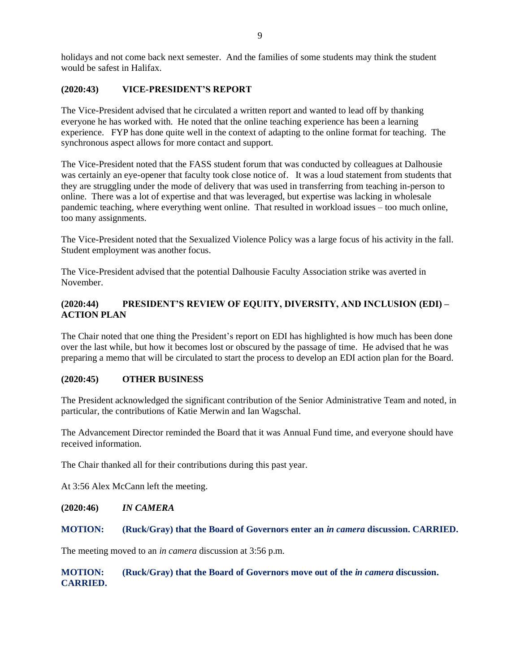holidays and not come back next semester. And the families of some students may think the student would be safest in Halifax.

#### **(2020:43) VICE-PRESIDENT'S REPORT**

The Vice-President advised that he circulated a written report and wanted to lead off by thanking everyone he has worked with. He noted that the online teaching experience has been a learning experience. FYP has done quite well in the context of adapting to the online format for teaching. The synchronous aspect allows for more contact and support.

The Vice-President noted that the FASS student forum that was conducted by colleagues at Dalhousie was certainly an eye-opener that faculty took close notice of. It was a loud statement from students that they are struggling under the mode of delivery that was used in transferring from teaching in-person to online. There was a lot of expertise and that was leveraged, but expertise was lacking in wholesale pandemic teaching, where everything went online. That resulted in workload issues – too much online, too many assignments.

The Vice-President noted that the Sexualized Violence Policy was a large focus of his activity in the fall. Student employment was another focus.

The Vice-President advised that the potential Dalhousie Faculty Association strike was averted in November.

## **(2020:44) PRESIDENT'S REVIEW OF EQUITY, DIVERSITY, AND INCLUSION (EDI) – ACTION PLAN**

The Chair noted that one thing the President's report on EDI has highlighted is how much has been done over the last while, but how it becomes lost or obscured by the passage of time. He advised that he was preparing a memo that will be circulated to start the process to develop an EDI action plan for the Board.

#### **(2020:45) OTHER BUSINESS**

The President acknowledged the significant contribution of the Senior Administrative Team and noted, in particular, the contributions of Katie Merwin and Ian Wagschal.

The Advancement Director reminded the Board that it was Annual Fund time, and everyone should have received information.

The Chair thanked all for their contributions during this past year.

At 3:56 Alex McCann left the meeting.

**(2020:46)** *IN CAMERA*

#### **MOTION: (Ruck/Gray) that the Board of Governors enter an** *in camera* **discussion. CARRIED.**

The meeting moved to an *in camera* discussion at 3:56 p.m.

## **MOTION: (Ruck/Gray) that the Board of Governors move out of the** *in camera* **discussion. CARRIED.**